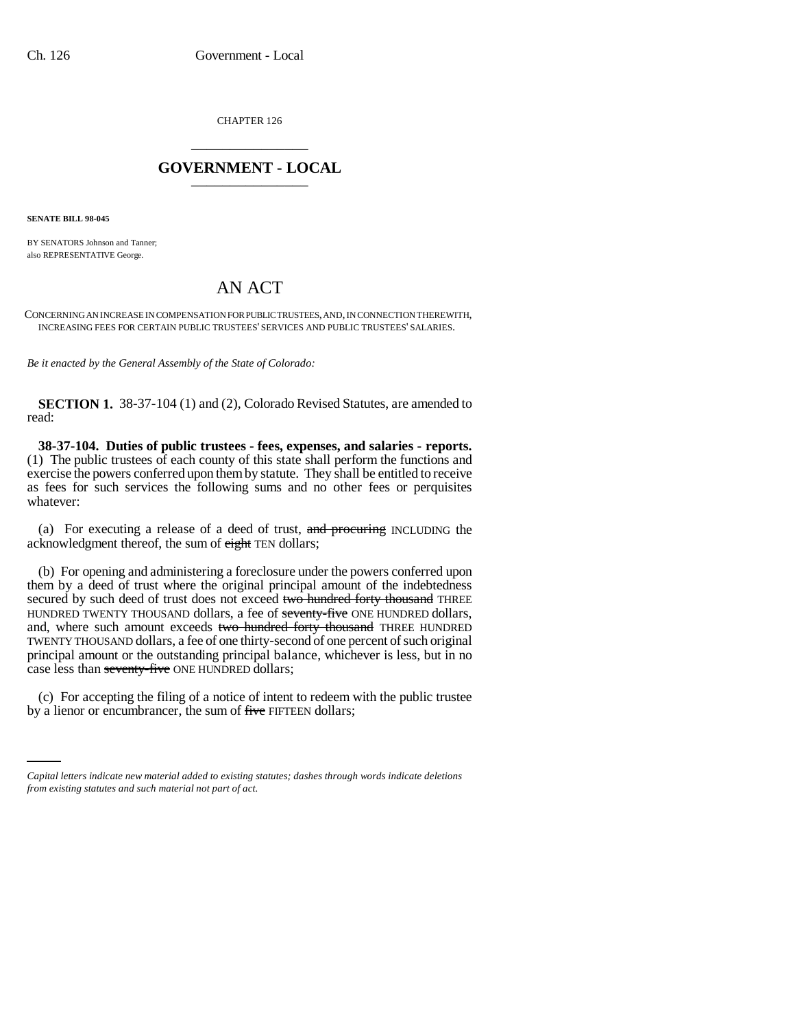CHAPTER 126 \_\_\_\_\_\_\_\_\_\_\_\_\_\_\_

## **GOVERNMENT - LOCAL** \_\_\_\_\_\_\_\_\_\_\_\_\_\_\_

**SENATE BILL 98-045**

BY SENATORS Johnson and Tanner; also REPRESENTATIVE George.

## AN ACT

CONCERNING AN INCREASE IN COMPENSATION FOR PUBLIC TRUSTEES, AND, IN CONNECTION THEREWITH, INCREASING FEES FOR CERTAIN PUBLIC TRUSTEES' SERVICES AND PUBLIC TRUSTEES' SALARIES.

*Be it enacted by the General Assembly of the State of Colorado:*

**SECTION 1.** 38-37-104 (1) and (2), Colorado Revised Statutes, are amended to read:

**38-37-104. Duties of public trustees - fees, expenses, and salaries - reports.** (1) The public trustees of each county of this state shall perform the functions and exercise the powers conferred upon them by statute. They shall be entitled to receive as fees for such services the following sums and no other fees or perquisites whatever:

(a) For executing a release of a deed of trust, and procuring INCLUDING the acknowledgment thereof, the sum of eight TEN dollars;

(b) For opening and administering a foreclosure under the powers conferred upon them by a deed of trust where the original principal amount of the indebtedness secured by such deed of trust does not exceed two hundred forty thousand THREE HUNDRED TWENTY THOUSAND dollars, a fee of seventy-five ONE HUNDRED dollars, and, where such amount exceeds two hundred forty thousand THREE HUNDRED TWENTY THOUSAND dollars, a fee of one thirty-second of one percent of such original principal amount or the outstanding principal balance, whichever is less, but in no case less than seventy-five ONE HUNDRED dollars;

(c) For accepting the filing of a notice of intent to redeem with the public trustee by a lienor or encumbrancer, the sum of five FIFTEEN dollars;

*Capital letters indicate new material added to existing statutes; dashes through words indicate deletions from existing statutes and such material not part of act.*